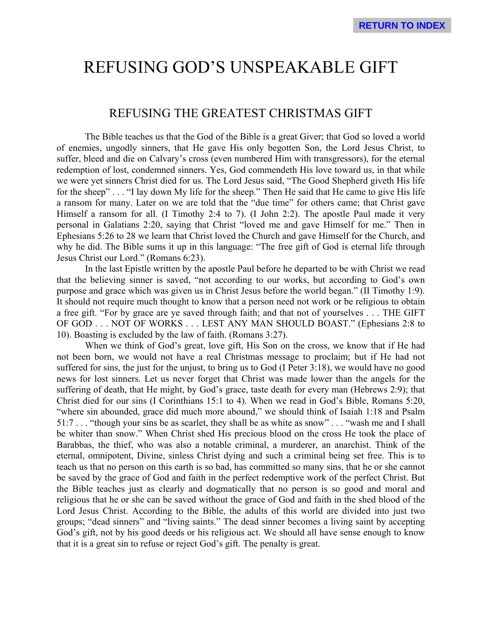# REFUSING GOD'S UNSPEAKABLE GIFT

## REFUSING THE GREATEST CHRISTMAS GIFT

The Bible teaches us that the God of the Bible is a great Giver; that God so loved a world of enemies, ungodly sinners, that He gave His only begotten Son, the Lord Jesus Christ, to suffer, bleed and die on Calvary's cross (even numbered Him with transgressors), for the eternal redemption of lost, condemned sinners. Yes, God commendeth His love toward us, in that while we were yet sinners Christ died for us. The Lord Jesus said, "The Good Shepherd giveth His life for the sheep" . . . "I lay down My life for the sheep." Then He said that He came to give His life a ransom for many. Later on we are told that the "due time" for others came; that Christ gave Himself a ransom for all. (I Timothy 2:4 to 7). (I John 2:2). The apostle Paul made it very personal in Galatians 2:20, saying that Christ "loved me and gave Himself for me." Then in Ephesians 5:26 to 28 we learn that Christ loved the Church and gave Himself for the Church, and why he did. The Bible sums it up in this language: "The free gift of God is eternal life through Jesus Christ our Lord." (Romans 6:23).

In the last Epistle written by the apostle Paul before he departed to be with Christ we read that the believing sinner is saved, "not according to our works, but according to God's own purpose and grace which was given us in Christ Jesus before the world began." (II Timothy 1:9). It should not require much thought to know that a person need not work or be religious to obtain a free gift. "For by grace are ye saved through faith; and that not of yourselves . . . THE GIFT OF GOD . . . NOT OF WORKS . . . LEST ANY MAN SHOULD BOAST." (Ephesians 2:8 to 10). Boasting is excluded by the law of faith. (Romans 3:27).

When we think of God's great, love gift, His Son on the cross, we know that if He had not been born, we would not have a real Christmas message to proclaim; but if He had not suffered for sins, the just for the unjust, to bring us to God (I Peter 3:18), we would have no good news for lost sinners. Let us never forget that Christ was made lower than the angels for the suffering of death, that He might, by God's grace, taste death for every man (Hebrews 2:9); that Christ died for our sins (I Corinthians 15:1 to 4). When we read in God's Bible, Romans 5:20, "where sin abounded, grace did much more abound," we should think of Isaiah 1:18 and Psalm 51:7 . . . "though your sins be as scarlet, they shall be as white as snow" . . . "wash me and I shall be whiter than snow." When Christ shed His precious blood on the cross He took the place of Barabbas, the thief, who was also a notable criminal, a murderer, an anarchist. Think of the eternal, omnipotent, Divine, sinless Christ dying and such a criminal being set free. This is to teach us that no person on this earth is so bad, has committed so many sins, that he or she cannot be saved by the grace of God and faith in the perfect redemptive work of the perfect Christ. But the Bible teaches just as clearly and dogmatically that no person is so good and moral and religious that he or she can be saved without the grace of God and faith in the shed blood of the Lord Jesus Christ. According to the Bible, the adults of this world are divided into just two groups; "dead sinners" and "living saints." The dead sinner becomes a living saint by accepting God's gift, not by his good deeds or his religious act. We should all have sense enough to know that it is a great sin to refuse or reject God's gift. The penalty is great.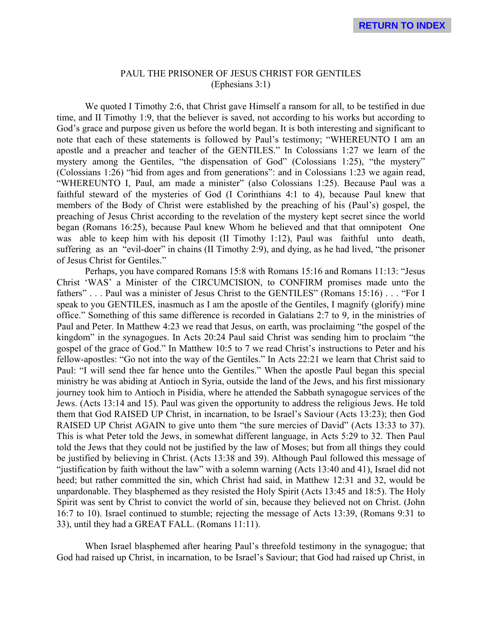### PAUL THE PRISONER OF JESUS CHRIST FOR GENTILES (Ephesians 3:1)

We quoted I Timothy 2:6, that Christ gave Himself a ransom for all, to be testified in due time, and II Timothy 1:9, that the believer is saved, not according to his works but according to God's grace and purpose given us before the world began. It is both interesting and significant to note that each of these statements is followed by Paul's testimony; "WHEREUNTO I am an apostle and a preacher and teacher of the GENTILES." In Colossians 1:27 we learn of the mystery among the Gentiles, "the dispensation of God" (Colossians 1:25), "the mystery" (Colossians 1:26) "hid from ages and from generations": and in Colossians 1:23 we again read, "WHEREUNTO I, Paul, am made a minister" (also Colossians 1:25). Because Paul was a faithful steward of the mysteries of God (I Corinthians 4:1 to 4), because Paul knew that members of the Body of Christ were established by the preaching of his (Paul's) gospel, the preaching of Jesus Christ according to the revelation of the mystery kept secret since the world began (Romans 16:25), because Paul knew Whom he believed and that that omnipotent One was able to keep him with his deposit (II Timothy 1:12), Paul was faithful unto death, suffering as an "evil-doer" in chains (II Timothy 2:9), and dying, as he had lived, "the prisoner of Jesus Christ for Gentiles."

Perhaps, you have compared Romans 15:8 with Romans 15:16 and Romans 11:13: "Jesus Christ 'WAS' a Minister of the CIRCUMCISION, to CONFIRM promises made unto the fathers" . . . Paul was a minister of Jesus Christ to the GENTILES" (Romans 15:16) . . . "For I speak to you GENTILES, inasmuch as I am the apostle of the Gentiles, I magnify (glorify) mine office." Something of this same difference is recorded in Galatians 2:7 to 9, in the ministries of Paul and Peter. In Matthew 4:23 we read that Jesus, on earth, was proclaiming "the gospel of the kingdom" in the synagogues. In Acts 20:24 Paul said Christ was sending him to proclaim "the gospel of the grace of God." In Matthew 10:5 to 7 we read Christ's instructions to Peter and his fellow-apostles: "Go not into the way of the Gentiles." In Acts 22:21 we learn that Christ said to Paul: "I will send thee far hence unto the Gentiles." When the apostle Paul began this special ministry he was abiding at Antioch in Syria, outside the land of the Jews, and his first missionary journey took him to Antioch in Pisidia, where he attended the Sabbath synagogue services of the Jews. (Acts 13:14 and 15). Paul was given the opportunity to address the religious Jews. He told them that God RAISED UP Christ, in incarnation, to be Israel's Saviour (Acts 13:23); then God RAISED UP Christ AGAIN to give unto them "the sure mercies of David" (Acts 13:33 to 37). This is what Peter told the Jews, in somewhat different language, in Acts 5:29 to 32. Then Paul told the Jews that they could not be justified by the law of Moses; but from all things they could be justified by believing in Christ. (Acts 13:38 and 39). Although Paul followed this message of "justification by faith without the law" with a solemn warning (Acts 13:40 and 41), Israel did not heed; but rather committed the sin, which Christ had said, in Matthew 12:31 and 32, would be unpardonable. They blasphemed as they resisted the Holy Spirit (Acts 13:45 and 18:5). The Holy Spirit was sent by Christ to convict the world of sin, because they believed not on Christ. (John 16:7 to 10). Israel continued to stumble; rejecting the message of Acts 13:39, (Romans 9:31 to 33), until they had a GREAT FALL. (Romans 11:11).

When Israel blasphemed after hearing Paul's threefold testimony in the synagogue; that God had raised up Christ, in incarnation, to be Israel's Saviour; that God had raised up Christ, in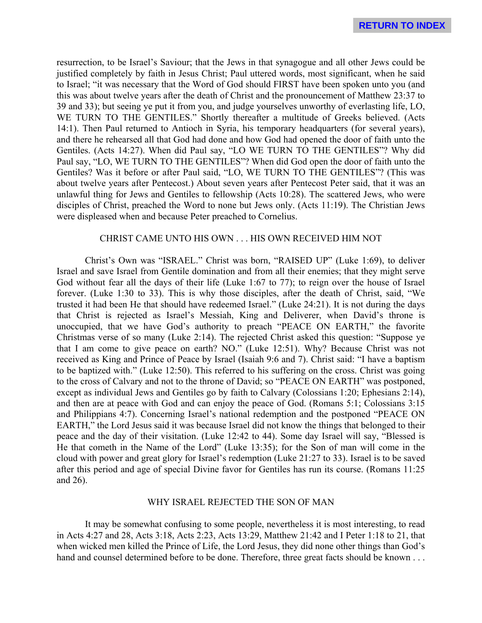resurrection, to be Israel's Saviour; that the Jews in that synagogue and all other Jews could be justified completely by faith in Jesus Christ; Paul uttered words, most significant, when he said to Israel; "it was necessary that the Word of God should FIRST have been spoken unto you (and this was about twelve years after the death of Christ and the pronouncement of Matthew 23:37 to 39 and 33); but seeing ye put it from you, and judge yourselves unworthy of everlasting life, LO, WE TURN TO THE GENTILES." Shortly thereafter a multitude of Greeks believed. (Acts 14:1). Then Paul returned to Antioch in Syria, his temporary headquarters (for several years), and there he rehearsed all that God had done and how God had opened the door of faith unto the Gentiles. (Acts 14:27). When did Paul say, "LO WE TURN TO THE GENTILES"? Why did Paul say, "LO, WE TURN TO THE GENTILES"? When did God open the door of faith unto the Gentiles? Was it before or after Paul said, "LO, WE TURN TO THE GENTILES"? (This was about twelve years after Pentecost.) About seven years after Pentecost Peter said, that it was an unlawful thing for Jews and Gentiles to fellowship (Acts 10:28). The scattered Jews, who were disciples of Christ, preached the Word to none but Jews only. (Acts 11:19). The Christian Jews were displeased when and because Peter preached to Cornelius.

#### CHRIST CAME UNTO HIS OWN . . . HIS OWN RECEIVED HIM NOT

Christ's Own was "ISRAEL." Christ was born, "RAISED UP" (Luke 1:69), to deliver Israel and save Israel from Gentile domination and from all their enemies; that they might serve God without fear all the days of their life (Luke 1:67 to 77); to reign over the house of Israel forever. (Luke 1:30 to 33). This is why those disciples, after the death of Christ, said, "We trusted it had been He that should have redeemed Israel." (Luke 24:21). It is not during the days that Christ is rejected as Israel's Messiah, King and Deliverer, when David's throne is unoccupied, that we have God's authority to preach "PEACE ON EARTH," the favorite Christmas verse of so many (Luke 2:14). The rejected Christ asked this question: "Suppose ye that I am come to give peace on earth? NO." (Luke 12:51). Why? Because Christ was not received as King and Prince of Peace by Israel (Isaiah 9:6 and 7). Christ said: "I have a baptism to be baptized with." (Luke 12:50). This referred to his suffering on the cross. Christ was going to the cross of Calvary and not to the throne of David; so "PEACE ON EARTH" was postponed, except as individual Jews and Gentiles go by faith to Calvary (Colossians 1:20; Ephesians 2:14), and then are at peace with God and can enjoy the peace of God. (Romans 5:1; Colossians 3:15 and Philippians 4:7). Concerning Israel's national redemption and the postponed "PEACE ON EARTH," the Lord Jesus said it was because Israel did not know the things that belonged to their peace and the day of their visitation. (Luke 12:42 to 44). Some day Israel will say, "Blessed is He that cometh in the Name of the Lord" (Luke 13:35); for the Son of man will come in the cloud with power and great glory for Israel's redemption (Luke 21:27 to 33). Israel is to be saved after this period and age of special Divine favor for Gentiles has run its course. (Romans 11:25 and 26).

#### WHY ISRAEL REJECTED THE SON OF MAN

It may be somewhat confusing to some people, nevertheless it is most interesting, to read in Acts 4:27 and 28, Acts 3:18, Acts 2:23, Acts 13:29, Matthew 21:42 and I Peter 1:18 to 21, that when wicked men killed the Prince of Life, the Lord Jesus, they did none other things than God's hand and counsel determined before to be done. Therefore, three great facts should be known . . .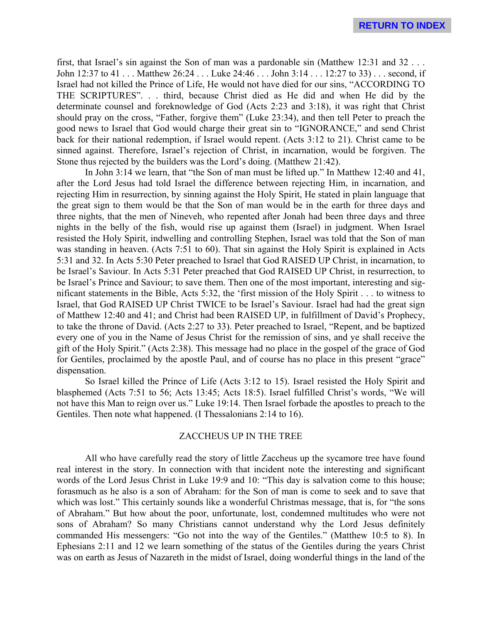first, that Israel's sin against the Son of man was a pardonable sin (Matthew 12:31 and 32 . . . John 12:37 to 41 . . . Matthew 26:24 . . . Luke 24:46 . . . John 3:14 . . . 12:27 to 33) . . . second, if Israel had not killed the Prince of Life, He would not have died for our sins, "ACCORDING TO THE SCRIPTURES". . . third, because Christ died as He did and when He did by the determinate counsel and foreknowledge of God (Acts 2:23 and 3:18), it was right that Christ should pray on the cross, "Father, forgive them" (Luke 23:34), and then tell Peter to preach the good news to Israel that God would charge their great sin to "IGNORANCE," and send Christ back for their national redemption, if Israel would repent. (Acts 3:12 to 21). Christ came to be sinned against. Therefore, Israel's rejection of Christ, in incarnation, would be forgiven. The Stone thus rejected by the builders was the Lord's doing. (Matthew 21:42).

In John 3:14 we learn, that "the Son of man must be lifted up." In Matthew 12:40 and 41, after the Lord Jesus had told Israel the difference between rejecting Him, in incarnation, and rejecting Him in resurrection, by sinning against the Holy Spirit, He stated in plain language that the great sign to them would be that the Son of man would be in the earth for three days and three nights, that the men of Nineveh, who repented after Jonah had been three days and three nights in the belly of the fish, would rise up against them (Israel) in judgment. When Israel resisted the Holy Spirit, indwelling and controlling Stephen, Israel was told that the Son of man was standing in heaven. (Acts 7:51 to 60). That sin against the Holy Spirit is explained in Acts 5:31 and 32. In Acts 5:30 Peter preached to Israel that God RAISED UP Christ, in incarnation, to be Israel's Saviour. In Acts 5:31 Peter preached that God RAISED UP Christ, in resurrection, to be Israel's Prince and Saviour; to save them. Then one of the most important, interesting and significant statements in the Bible, Acts 5:32, the 'first mission of the Holy Spirit . . . to witness to Israel, that God RAISED UP Christ TWICE to be Israel's Saviour. Israel had had the great sign of Matthew 12:40 and 41; and Christ had been RAISED UP, in fulfillment of David's Prophecy, to take the throne of David. (Acts 2:27 to 33). Peter preached to Israel, "Repent, and be baptized every one of you in the Name of Jesus Christ for the remission of sins, and ye shall receive the gift of the Holy Spirit." (Acts 2:38). This message had no place in the gospel of the grace of God for Gentiles, proclaimed by the apostle Paul, and of course has no place in this present "grace" dispensation.

So Israel killed the Prince of Life (Acts 3:12 to 15). Israel resisted the Holy Spirit and blasphemed (Acts 7:51 to 56; Acts 13:45; Acts 18:5). Israel fulfilled Christ's words, "We will not have this Man to reign over us." Luke 19:14. Then Israel forbade the apostles to preach to the Gentiles. Then note what happened. (I Thessalonians 2:14 to 16).

#### ZACCHEUS UP IN THE TREE

All who have carefully read the story of little Zaccheus up the sycamore tree have found real interest in the story. In connection with that incident note the interesting and significant words of the Lord Jesus Christ in Luke 19:9 and 10: "This day is salvation come to this house; forasmuch as he also is a son of Abraham: for the Son of man is come to seek and to save that which was lost." This certainly sounds like a wonderful Christmas message, that is, for "the sons of Abraham." But how about the poor, unfortunate, lost, condemned multitudes who were not sons of Abraham? So many Christians cannot understand why the Lord Jesus definitely commanded His messengers: "Go not into the way of the Gentiles." (Matthew 10:5 to 8). In Ephesians 2:11 and 12 we learn something of the status of the Gentiles during the years Christ was on earth as Jesus of Nazareth in the midst of Israel, doing wonderful things in the land of the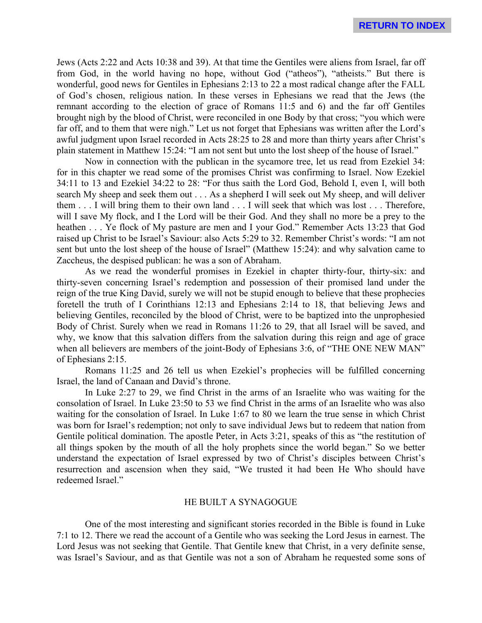Jews (Acts 2:22 and Acts 10:38 and 39). At that time the Gentiles were aliens from Israel, far off from God, in the world having no hope, without God ("atheos"), "atheists." But there is wonderful, good news for Gentiles in Ephesians 2:13 to 22 a most radical change after the FALL of God's chosen, religious nation. In these verses in Ephesians we read that the Jews (the remnant according to the election of grace of Romans 11:5 and 6) and the far off Gentiles brought nigh by the blood of Christ, were reconciled in one Body by that cross; "you which were far off, and to them that were nigh." Let us not forget that Ephesians was written after the Lord's awful judgment upon Israel recorded in Acts 28:25 to 28 and more than thirty years after Christ's plain statement in Matthew 15:24: "I am not sent but unto the lost sheep of the house of Israel."

Now in connection with the publican in the sycamore tree, let us read from Ezekiel 34: for in this chapter we read some of the promises Christ was confirming to Israel. Now Ezekiel 34:11 to 13 and Ezekiel 34:22 to 28: "For thus saith the Lord God, Behold I, even I, will both search My sheep and seek them out . . . As a shepherd I will seek out My sheep, and will deliver them . . . I will bring them to their own land . . . I will seek that which was lost . . . Therefore, will I save My flock, and I the Lord will be their God. And they shall no more be a prey to the heathen . . . Ye flock of My pasture are men and I your God." Remember Acts 13:23 that God raised up Christ to be Israel's Saviour: also Acts 5:29 to 32. Remember Christ's words: "I am not sent but unto the lost sheep of the house of Israel" (Matthew 15:24): and why salvation came to Zaccheus, the despised publican: he was a son of Abraham.

As we read the wonderful promises in Ezekiel in chapter thirty-four, thirty-six: and thirty-seven concerning Israel's redemption and possession of their promised land under the reign of the true King David, surely we will not be stupid enough to believe that these prophecies foretell the truth of I Corinthians 12:13 and Ephesians 2:14 to 18, that believing Jews and believing Gentiles, reconciled by the blood of Christ, were to be baptized into the unprophesied Body of Christ. Surely when we read in Romans 11:26 to 29, that all Israel will be saved, and why, we know that this salvation differs from the salvation during this reign and age of grace when all believers are members of the joint-Body of Ephesians 3:6, of "THE ONE NEW MAN" of Ephesians 2:15.

Romans 11:25 and 26 tell us when Ezekiel's prophecies will be fulfilled concerning Israel, the land of Canaan and David's throne.

In Luke 2:27 to 29, we find Christ in the arms of an Israelite who was waiting for the consolation of Israel. In Luke 23:50 to 53 we find Christ in the arms of an Israelite who was also waiting for the consolation of Israel. In Luke 1:67 to 80 we learn the true sense in which Christ was born for Israel's redemption; not only to save individual Jews but to redeem that nation from Gentile political domination. The apostle Peter, in Acts 3:21, speaks of this as "the restitution of all things spoken by the mouth of all the holy prophets since the world began." So we better understand the expectation of Israel expressed by two of Christ's disciples between Christ's resurrection and ascension when they said, "We trusted it had been He Who should have redeemed Israel."

#### HE BUILT A SYNAGOGUE

One of the most interesting and significant stories recorded in the Bible is found in Luke 7:1 to 12. There we read the account of a Gentile who was seeking the Lord Jesus in earnest. The Lord Jesus was not seeking that Gentile. That Gentile knew that Christ, in a very definite sense, was Israel's Saviour, and as that Gentile was not a son of Abraham he requested some sons of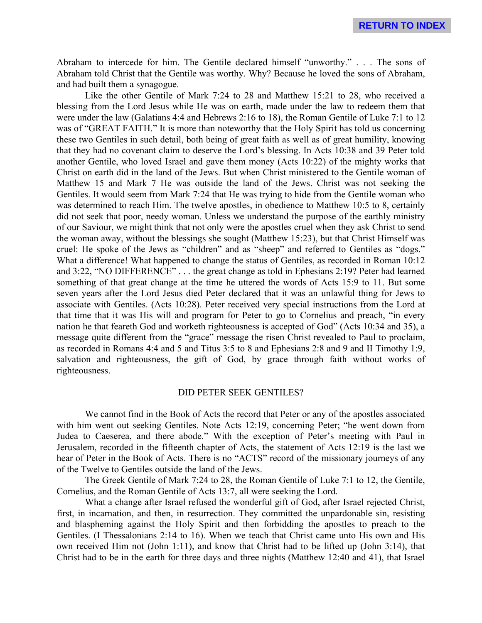Abraham to intercede for him. The Gentile declared himself "unworthy." . . . The sons of Abraham told Christ that the Gentile was worthy. Why? Because he loved the sons of Abraham, and had built them a synagogue.

Like the other Gentile of Mark 7:24 to 28 and Matthew 15:21 to 28, who received a blessing from the Lord Jesus while He was on earth, made under the law to redeem them that were under the law (Galatians 4:4 and Hebrews 2:16 to 18), the Roman Gentile of Luke 7:1 to 12 was of "GREAT FAITH." It is more than noteworthy that the Holy Spirit has told us concerning these two Gentiles in such detail, both being of great faith as well as of great humility, knowing that they had no covenant claim to deserve the Lord's blessing. In Acts 10:38 and 39 Peter told another Gentile, who loved Israel and gave them money (Acts 10:22) of the mighty works that Christ on earth did in the land of the Jews. But when Christ ministered to the Gentile woman of Matthew 15 and Mark 7 He was outside the land of the Jews. Christ was not seeking the Gentiles. It would seem from Mark 7:24 that He was trying to hide from the Gentile woman who was determined to reach Him. The twelve apostles, in obedience to Matthew 10:5 to 8, certainly did not seek that poor, needy woman. Unless we understand the purpose of the earthly ministry of our Saviour, we might think that not only were the apostles cruel when they ask Christ to send the woman away, without the blessings she sought (Matthew 15:23), but that Christ Himself was cruel: He spoke of the Jews as "children" and as "sheep" and referred to Gentiles as "dogs." What a difference! What happened to change the status of Gentiles, as recorded in Roman 10:12 and 3:22, "NO DIFFERENCE" . . . the great change as told in Ephesians 2:19? Peter had learned something of that great change at the time he uttered the words of Acts 15:9 to 11. But some seven years after the Lord Jesus died Peter declared that it was an unlawful thing for Jews to associate with Gentiles. (Acts 10:28). Peter received very special instructions from the Lord at that time that it was His will and program for Peter to go to Cornelius and preach, "in every nation he that feareth God and worketh righteousness is accepted of God" (Acts 10:34 and 35), a message quite different from the "grace" message the risen Christ revealed to Paul to proclaim, as recorded in Romans 4:4 and 5 and Titus 3:5 to 8 and Ephesians 2:8 and 9 and II Timothy 1:9, salvation and righteousness, the gift of God, by grace through faith without works of righteousness.

#### DID PETER SEEK GENTILES?

We cannot find in the Book of Acts the record that Peter or any of the apostles associated with him went out seeking Gentiles. Note Acts 12:19, concerning Peter; "he went down from Judea to Caeserea, and there abode." With the exception of Peter's meeting with Paul in Jerusalem, recorded in the fifteenth chapter of Acts, the statement of Acts 12:19 is the last we hear of Peter in the Book of Acts. There is no "ACTS" record of the missionary journeys of any of the Twelve to Gentiles outside the land of the Jews.

The Greek Gentile of Mark 7:24 to 28, the Roman Gentile of Luke 7:1 to 12, the Gentile, Cornelius, and the Roman Gentile of Acts 13:7, all were seeking the Lord.

What a change after Israel refused the wonderful gift of God, after Israel rejected Christ, first, in incarnation, and then, in resurrection. They committed the unpardonable sin, resisting and blaspheming against the Holy Spirit and then forbidding the apostles to preach to the Gentiles. (I Thessalonians 2:14 to 16). When we teach that Christ came unto His own and His own received Him not (John 1:11), and know that Christ had to be lifted up (John 3:14), that Christ had to be in the earth for three days and three nights (Matthew 12:40 and 41), that Israel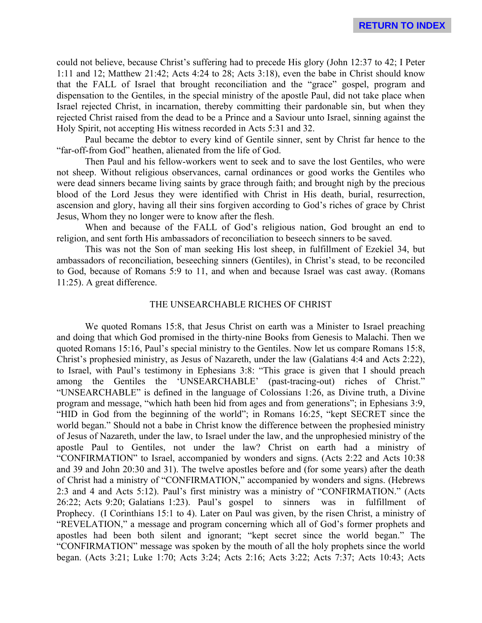could not believe, because Christ's suffering had to precede His glory (John 12:37 to 42; I Peter 1:11 and 12; Matthew 21:42; Acts 4:24 to 28; Acts 3:18), even the babe in Christ should know that the FALL of Israel that brought reconciliation and the "grace" gospel, program and dispensation to the Gentiles, in the special ministry of the apostle Paul, did not take place when Israel rejected Christ, in incarnation, thereby committing their pardonable sin, but when they rejected Christ raised from the dead to be a Prince and a Saviour unto Israel, sinning against the Holy Spirit, not accepting His witness recorded in Acts 5:31 and 32.

Paul became the debtor to every kind of Gentile sinner, sent by Christ far hence to the "far-off-from God" heathen, alienated from the life of God.

Then Paul and his fellow-workers went to seek and to save the lost Gentiles, who were not sheep. Without religious observances, carnal ordinances or good works the Gentiles who were dead sinners became living saints by grace through faith; and brought nigh by the precious blood of the Lord Jesus they were identified with Christ in His death, burial, resurrection, ascension and glory, having all their sins forgiven according to God's riches of grace by Christ Jesus, Whom they no longer were to know after the flesh.

When and because of the FALL of God's religious nation, God brought an end to religion, and sent forth His ambassadors of reconciliation to beseech sinners to be saved.

This was not the Son of man seeking His lost sheep, in fulfillment of Ezekiel 34, but ambassadors of reconciliation, beseeching sinners (Gentiles), in Christ's stead, to be reconciled to God, because of Romans 5:9 to 11, and when and because Israel was cast away. (Romans 11:25). A great difference.

#### THE UNSEARCHABLE RICHES OF CHRIST

We quoted Romans 15:8, that Jesus Christ on earth was a Minister to Israel preaching and doing that which God promised in the thirty-nine Books from Genesis to Malachi. Then we quoted Romans 15:16, Paul's special ministry to the Gentiles. Now let us compare Romans 15:8, Christ's prophesied ministry, as Jesus of Nazareth, under the law (Galatians 4:4 and Acts 2:22), to Israel, with Paul's testimony in Ephesians 3:8: "This grace is given that I should preach among the Gentiles the 'UNSEARCHABLE' (past-tracing-out) riches of Christ." "UNSEARCHABLE" is defined in the language of Colossians 1:26, as Divine truth, a Divine program and message, "which hath been hid from ages and from generations"; in Ephesians 3:9, "HID in God from the beginning of the world"; in Romans 16:25, "kept SECRET since the world began." Should not a babe in Christ know the difference between the prophesied ministry of Jesus of Nazareth, under the law, to Israel under the law, and the unprophesied ministry of the apostle Paul to Gentiles, not under the law? Christ on earth had a ministry of "CONFIRMATION" to Israel, accompanied by wonders and signs. (Acts 2:22 and Acts 10:38 and 39 and John 20:30 and 31). The twelve apostles before and (for some years) after the death of Christ had a ministry of "CONFIRMATION," accompanied by wonders and signs. (Hebrews 2:3 and 4 and Acts 5:12). Paul's first ministry was a ministry of "CONFIRMATION." (Acts 26:22; Acts 9:20; Galatians 1:23). Paul's gospel to sinners was in fulfillment of Prophecy. (I Corinthians 15:1 to 4). Later on Paul was given, by the risen Christ, a ministry of "REVELATION," a message and program concerning which all of God's former prophets and apostles had been both silent and ignorant; "kept secret since the world began." The "CONFIRMATION" message was spoken by the mouth of all the holy prophets since the world began. (Acts 3:21; Luke 1:70; Acts 3:24; Acts 2:16; Acts 3:22; Acts 7:37; Acts 10:43; Acts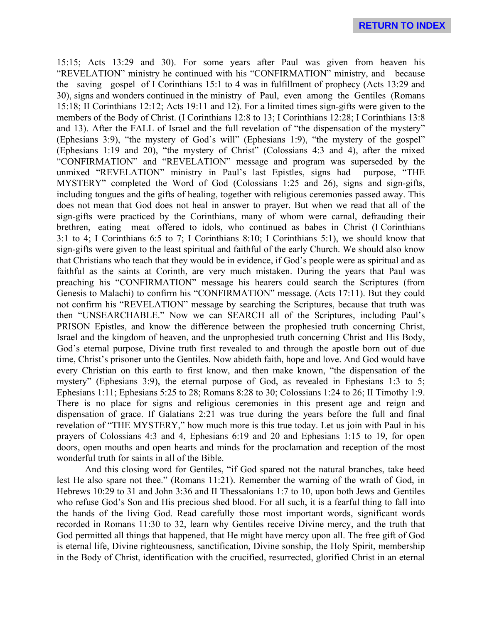**RETURN TO INDEX**

15:15; Acts 13:29 and 30). For some years after Paul was given from heaven his "REVELATION" ministry he continued with his "CONFIRMATION" ministry, and because the saving gospel of I Corinthians 15:1 to 4 was in fulfillment of prophecy (Acts 13:29 and 30), signs and wonders continued in the ministry of Paul, even among the Gentiles (Romans 15:18; II Corinthians 12:12; Acts 19:11 and 12). For a limited times sign-gifts were given to the members of the Body of Christ. (I Corinthians 12:8 to 13; I Corinthians 12:28; I Corinthians 13:8 and 13). After the FALL of Israel and the full revelation of "the dispensation of the mystery" (Ephesians 3:9), "the mystery of God's will" (Ephesians 1:9), "the mystery of the gospel" (Ephesians 1:19 and 20), "the mystery of Christ" (Colossians 4:3 and 4), after the mixed "CONFIRMATION" and "REVELATION" message and program was superseded by the unmixed "REVELATION" ministry in Paul's last Epistles, signs had purpose, "THE MYSTERY" completed the Word of God (Colossians 1:25 and 26), signs and sign-gifts, including tongues and the gifts of healing, together with religious ceremonies passed away. This does not mean that God does not heal in answer to prayer. But when we read that all of the sign-gifts were practiced by the Corinthians, many of whom were carnal, defrauding their brethren, eating meat offered to idols, who continued as babes in Christ (I Corinthians 3:1 to 4; I Corinthians 6:5 to 7; I Corinthians 8:10; I Corinthians 5:1), we should know that sign-gifts were given to the least spiritual and faithful of the early Church. We should also know that Christians who teach that they would be in evidence, if God's people were as spiritual and as faithful as the saints at Corinth, are very much mistaken. During the years that Paul was preaching his "CONFIRMATION" message his hearers could search the Scriptures (from Genesis to Malachi) to confirm his "CONFIRMATION" message. (Acts 17:11). But they could not confirm his "REVELATION" message by searching the Scriptures, because that truth was then "UNSEARCHABLE." Now we can SEARCH all of the Scriptures, including Paul's PRISON Epistles, and know the difference between the prophesied truth concerning Christ, Israel and the kingdom of heaven, and the unprophesied truth concerning Christ and His Body, God's eternal purpose, Divine truth first revealed to and through the apostle born out of due time, Christ's prisoner unto the Gentiles. Now abideth faith, hope and love. And God would have every Christian on this earth to first know, and then make known, "the dispensation of the mystery" (Ephesians 3:9), the eternal purpose of God, as revealed in Ephesians 1:3 to 5; Ephesians 1:11; Ephesians 5:25 to 28; Romans 8:28 to 30; Colossians 1:24 to 26; II Timothy 1:9. There is no place for signs and religious ceremonies in this present age and reign and dispensation of grace. If Galatians 2:21 was true during the years before the full and final revelation of "THE MYSTERY," how much more is this true today. Let us join with Paul in his prayers of Colossians 4:3 and 4, Ephesians 6:19 and 20 and Ephesians 1:15 to 19, for open doors, open mouths and open hearts and minds for the proclamation and reception of the most wonderful truth for saints in all of the Bible.

And this closing word for Gentiles, "if God spared not the natural branches, take heed lest He also spare not thee." (Romans 11:21). Remember the warning of the wrath of God, in Hebrews 10:29 to 31 and John 3:36 and II Thessalonians 1:7 to 10, upon both Jews and Gentiles who refuse God's Son and His precious shed blood. For all such, it is a fearful thing to fall into the hands of the living God. Read carefully those most important words, significant words recorded in Romans 11:30 to 32, learn why Gentiles receive Divine mercy, and the truth that God permitted all things that happened, that He might have mercy upon all. The free gift of God is eternal life, Divine righteousness, sanctification, Divine sonship, the Holy Spirit, membership in the Body of Christ, identification with the crucified, resurrected, glorified Christ in an eternal